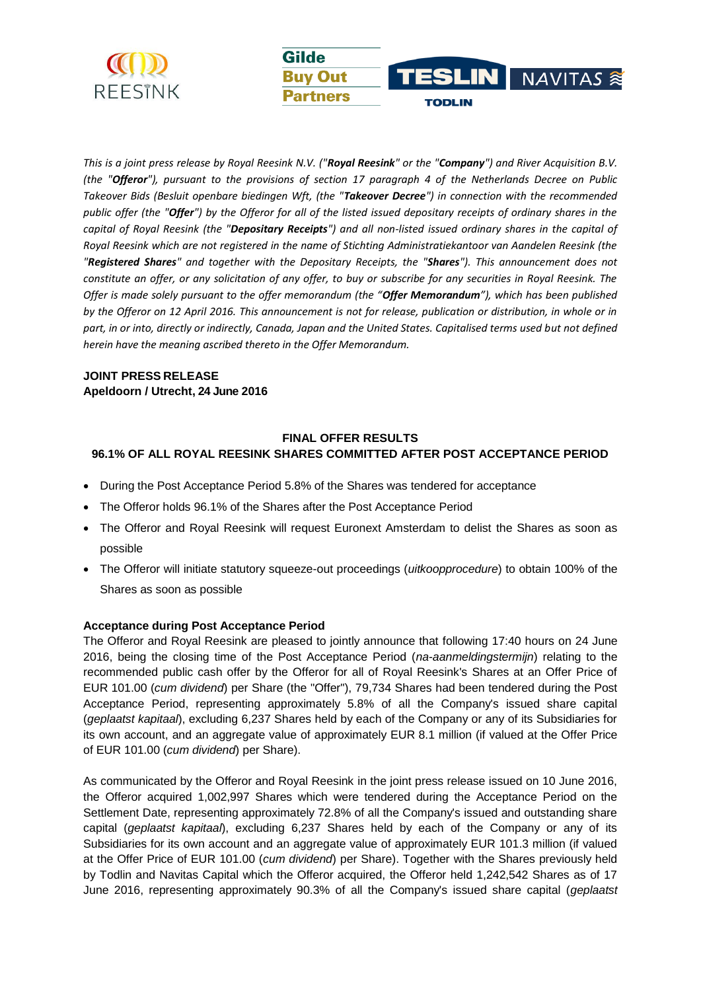

*This is a joint press release by Royal Reesink N.V. ("Royal Reesink" or the "Company") and River Acquisition B.V. (the "Offeror"), pursuant to the provisions of section 17 paragraph 4 of the Netherlands Decree on Public Takeover Bids (Besluit openbare biedingen Wft, (the "Takeover Decree") in connection with the recommended public offer (the "Offer") by the Offeror for all of the listed issued depositary receipts of ordinary shares in the capital of Royal Reesink (the "Depositary Receipts") and all non-listed issued ordinary shares in the capital of Royal Reesink which are not registered in the name of Stichting Administratiekantoor van Aandelen Reesink (the "Registered Shares" and together with the Depositary Receipts, the "Shares"). This announcement does not constitute an offer, or any solicitation of any offer, to buy or subscribe for any securities in Royal Reesink. The Offer is made solely pursuant to the offer memorandum (the "Offer Memorandum"), which has been published by the Offeror on 12 April 2016. This announcement is not for release, publication or distribution, in whole or in part, in or into, directly or indirectly, Canada, Japan and the United States. Capitalised terms used but not defined herein have the meaning ascribed thereto in the Offer Memorandum.*

.IN I

**TODLIN** 

NAVITAS S

**Gilde** 

**Buv Out** 

**Partners** 

# **JOINT PRESS RELEASE Apeldoorn / Utrecht, 24 June 2016**

# **FINAL OFFER RESULTS 96.1% OF ALL ROYAL REESINK SHARES COMMITTED AFTER POST ACCEPTANCE PERIOD**

- During the Post Acceptance Period 5.8% of the Shares was tendered for acceptance
- The Offeror holds 96.1% of the Shares after the Post Acceptance Period
- The Offeror and Royal Reesink will request Euronext Amsterdam to delist the Shares as soon as possible
- The Offeror will initiate statutory squeeze-out proceedings (*uitkoopprocedure*) to obtain 100% of the Shares as soon as possible

## **Acceptance during Post Acceptance Period**

The Offeror and Royal Reesink are pleased to jointly announce that following 17:40 hours on 24 June 2016, being the closing time of the Post Acceptance Period (*na-aanmeldingstermijn*) relating to the recommended public cash offer by the Offeror for all of Royal Reesink's Shares at an Offer Price of EUR 101.00 (*cum dividend*) per Share (the "Offer"), 79,734 Shares had been tendered during the Post Acceptance Period, representing approximately 5.8% of all the Company's issued share capital (*geplaatst kapitaal*), excluding 6,237 Shares held by each of the Company or any of its Subsidiaries for its own account, and an aggregate value of approximately EUR 8.1 million (if valued at the Offer Price of EUR 101.00 (*cum dividend*) per Share).

As communicated by the Offeror and Royal Reesink in the joint press release issued on 10 June 2016, the Offeror acquired 1,002,997 Shares which were tendered during the Acceptance Period on the Settlement Date, representing approximately 72.8% of all the Company's issued and outstanding share capital (*geplaatst kapitaal*), excluding 6,237 Shares held by each of the Company or any of its Subsidiaries for its own account and an aggregate value of approximately EUR 101.3 million (if valued at the Offer Price of EUR 101.00 (*cum dividend*) per Share). Together with the Shares previously held by Todlin and Navitas Capital which the Offeror acquired, the Offeror held 1,242,542 Shares as of 17 June 2016, representing approximately 90.3% of all the Company's issued share capital (*geplaatst*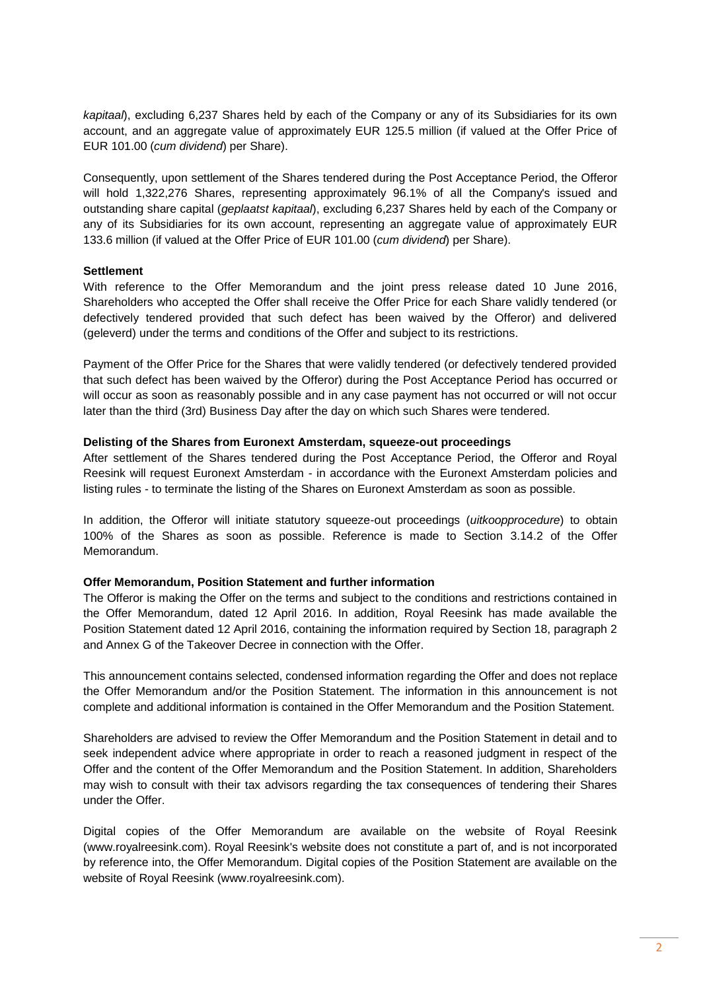*kapitaal*), excluding 6,237 Shares held by each of the Company or any of its Subsidiaries for its own account, and an aggregate value of approximately EUR 125.5 million (if valued at the Offer Price of EUR 101.00 (*cum dividend*) per Share).

Consequently, upon settlement of the Shares tendered during the Post Acceptance Period, the Offeror will hold 1,322,276 Shares, representing approximately 96.1% of all the Company's issued and outstanding share capital (*geplaatst kapitaal*), excluding 6,237 Shares held by each of the Company or any of its Subsidiaries for its own account, representing an aggregate value of approximately EUR 133.6 million (if valued at the Offer Price of EUR 101.00 (*cum dividend*) per Share).

### **Settlement**

With reference to the Offer Memorandum and the joint press release dated 10 June 2016, Shareholders who accepted the Offer shall receive the Offer Price for each Share validly tendered (or defectively tendered provided that such defect has been waived by the Offeror) and delivered (geleverd) under the terms and conditions of the Offer and subject to its restrictions.

Payment of the Offer Price for the Shares that were validly tendered (or defectively tendered provided that such defect has been waived by the Offeror) during the Post Acceptance Period has occurred or will occur as soon as reasonably possible and in any case payment has not occurred or will not occur later than the third (3rd) Business Day after the day on which such Shares were tendered.

### **Delisting of the Shares from Euronext Amsterdam, squeeze-out proceedings**

After settlement of the Shares tendered during the Post Acceptance Period, the Offeror and Royal Reesink will request Euronext Amsterdam - in accordance with the Euronext Amsterdam policies and listing rules - to terminate the listing of the Shares on Euronext Amsterdam as soon as possible.

In addition, the Offeror will initiate statutory squeeze-out proceedings (*uitkoopprocedure*) to obtain 100% of the Shares as soon as possible. Reference is made to Section 3.14.2 of the Offer Memorandum.

## **Offer Memorandum, Position Statement and further information**

The Offeror is making the Offer on the terms and subject to the conditions and restrictions contained in the Offer Memorandum, dated 12 April 2016. In addition, Royal Reesink has made available the Position Statement dated 12 April 2016, containing the information required by Section 18, paragraph 2 and Annex G of the Takeover Decree in connection with the Offer.

This announcement contains selected, condensed information regarding the Offer and does not replace the Offer Memorandum and/or the Position Statement. The information in this announcement is not complete and additional information is contained in the Offer Memorandum and the Position Statement.

Shareholders are advised to review the Offer Memorandum and the Position Statement in detail and to seek independent advice where appropriate in order to reach a reasoned judgment in respect of the Offer and the content of the Offer Memorandum and the Position Statement. In addition, Shareholders may wish to consult with their tax advisors regarding the tax consequences of tendering their Shares under the Offer.

Digital copies of the Offer Memorandum are available on the website of Royal Reesink (www.royalreesink.com). Royal Reesink's website does not constitute a part of, and is not incorporated by reference into, the Offer Memorandum. Digital copies of the Position Statement are available on the website of Royal Reesink (www.royalreesink.com).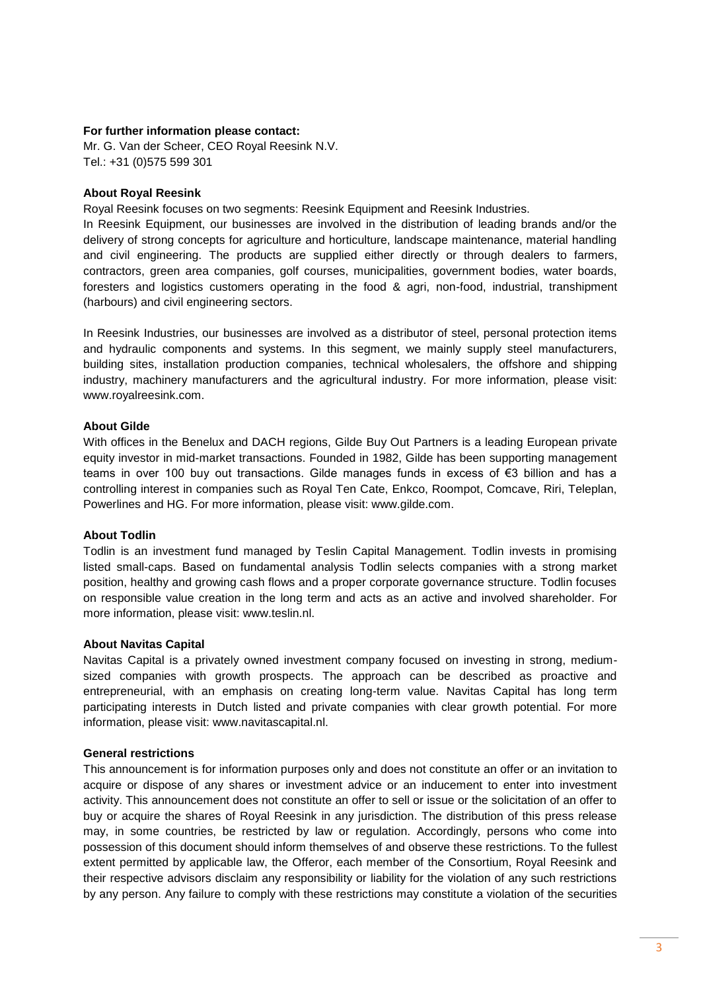### **For further information please contact:**

Mr. G. Van der Scheer, CEO Royal Reesink N.V. Tel.: +31 (0)575 599 301

### **About Royal Reesink**

Royal Reesink focuses on two segments: Reesink Equipment and Reesink Industries.

In Reesink Equipment, our businesses are involved in the distribution of leading brands and/or the delivery of strong concepts for agriculture and horticulture, landscape maintenance, material handling and civil engineering. The products are supplied either directly or through dealers to farmers, contractors, green area companies, golf courses, municipalities, government bodies, water boards, foresters and logistics customers operating in the food & agri, non-food, industrial, transhipment (harbours) and civil engineering sectors.

In Reesink Industries, our businesses are involved as a distributor of steel, personal protection items and hydraulic components and systems. In this segment, we mainly supply steel manufacturers, building sites, installation production companies, technical wholesalers, the offshore and shipping industry, machinery manufacturers and the agricultural industry. For more information, please visit: www.royalreesink.com.

## **About Gilde**

With offices in the Benelux and DACH regions, Gilde Buy Out Partners is a leading European private equity investor in mid-market transactions. Founded in 1982, Gilde has been supporting management teams in over 100 buy out transactions. Gilde manages funds in excess of €3 billion and has a controlling interest in companies such as Royal Ten Cate, Enkco, Roompot, Comcave, Riri, Teleplan, Powerlines and HG. For more information, please visit: www.gilde.com.

## **About Todlin**

Todlin is an investment fund managed by Teslin Capital Management. Todlin invests in promising listed small-caps. Based on fundamental analysis Todlin selects companies with a strong market position, healthy and growing cash flows and a proper corporate governance structure. Todlin focuses on responsible value creation in the long term and acts as an active and involved shareholder. For more information, please visit: www.teslin.nl.

#### **About Navitas Capital**

Navitas Capital is a privately owned investment company focused on investing in strong, mediumsized companies with growth prospects. The approach can be described as proactive and entrepreneurial, with an emphasis on creating long-term value. Navitas Capital has long term participating interests in Dutch listed and private companies with clear growth potential. For more information, please visit: www.navitascapital.nl.

## **General restrictions**

This announcement is for information purposes only and does not constitute an offer or an invitation to acquire or dispose of any shares or investment advice or an inducement to enter into investment activity. This announcement does not constitute an offer to sell or issue or the solicitation of an offer to buy or acquire the shares of Royal Reesink in any jurisdiction. The distribution of this press release may, in some countries, be restricted by law or regulation. Accordingly, persons who come into possession of this document should inform themselves of and observe these restrictions. To the fullest extent permitted by applicable law, the Offeror, each member of the Consortium, Royal Reesink and their respective advisors disclaim any responsibility or liability for the violation of any such restrictions by any person. Any failure to comply with these restrictions may constitute a violation of the securities